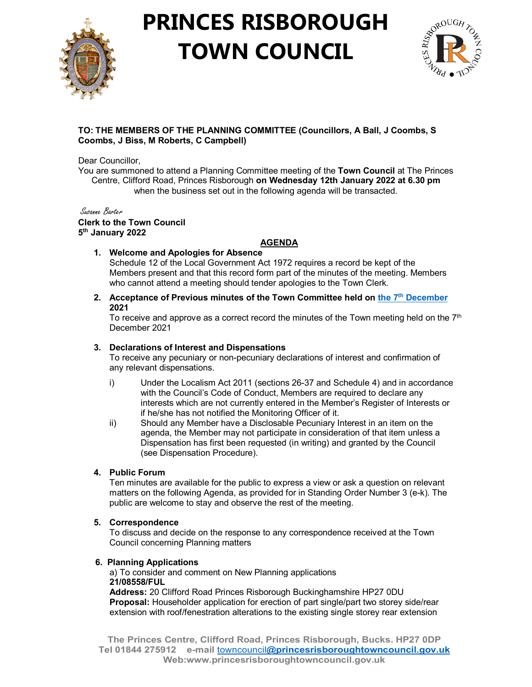

## **PRINCES RISBOROUGH TOWN COUNCIL**



## **TO: THE MEMBERS OF THE PLANNING COMMITTEE (Councillors, A Ball, J Coombs, S Coombs, J Biss, M Roberts, C Campbell)**

Dear Councillor,

You are summoned to attend a Planning Committee meeting of the **Town Council** at The Princes Centre, Clifford Road, Princes Risborough **on Wednesday 12th January 2022 at 6.30 pm** when the business set out in the following agenda will be transacted.

Susanne Barter **Clerk to the Town Council 5th January 2022**

## **AGENDA**

**1. Welcome and Apologies for Absence** 

Schedule 12 of the Local Government Act 1972 requires a record be kept of the Members present and that this record form part of the minutes of the meeting. Members who cannot attend a meeting should tender apologies to the Town Clerk.

**2. Acceptance of Previous minutes of the Town Committee held on the 7th [December](http://www.princesrisboroughtowncouncil.gov.uk/_UserFiles/Files/_Minutes/135555-Planning_Mins_7th_December_2021.pdf) 2021**

To receive and approve as a correct record the minutes of the Town meeting held on the  $7<sup>th</sup>$ December 2021

## **3. Declarations of Interest and Dispensations**

To receive any pecuniary or non-pecuniary declarations of interest and confirmation of any relevant dispensations.

- i) Under the Localism Act 2011 (sections 26-37 and Schedule 4) and in accordance with the Council's Code of Conduct, Members are required to declare any interests which are not currently entered in the Member's Register of Interests or if he/she has not notified the Monitoring Officer of it.
- ii) Should any Member have a Disclosable Pecuniary Interest in an item on the agenda, the Member may not participate in consideration of that item unless a Dispensation has first been requested (in writing) and granted by the Council (see Dispensation Procedure).

## **4. Public Forum**

Ten minutes are available for the public to express a view or ask a question on relevant matters on the following Agenda, as provided for in Standing Order Number 3 (e-k). The public are welcome to stay and observe the rest of the meeting.

#### **5. Correspondence**

To discuss and decide on the response to any correspondence received at the Town Council concerning Planning matters

#### **6. Planning Applications**

 a) To consider and comment on New Planning applications **21/08558/FUL**

**Address:** 20 Clifford Road Princes Risborough Buckinghamshire HP27 0DU **Proposal:** Householder application for erection of part single/part two storey side/rear extension with roof/fenestration alterations to the existing single storey rear extension